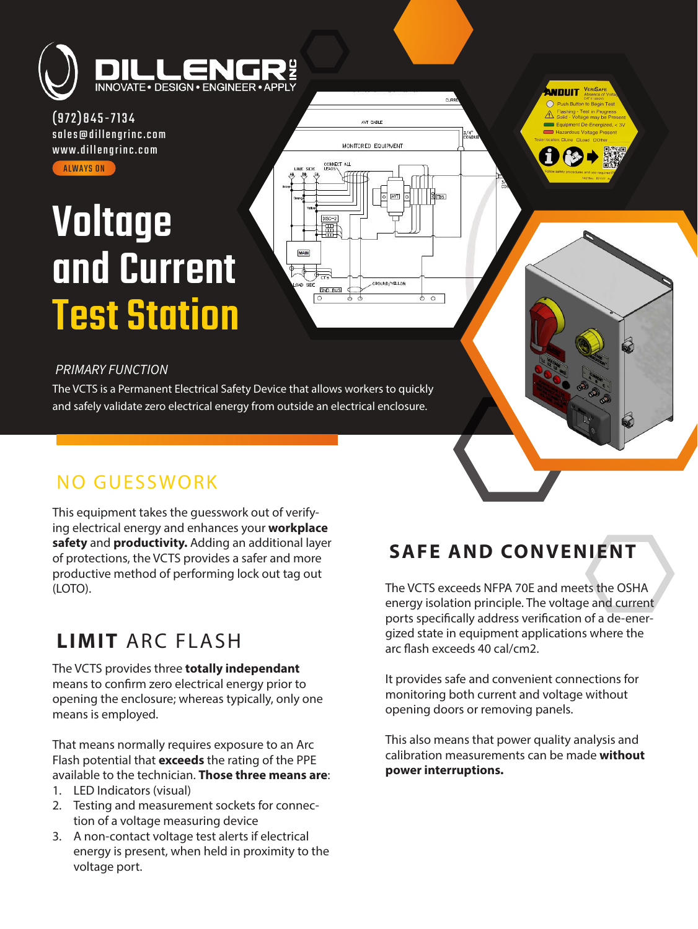

(972)845-7134 [sales@dillengrinc.com](mailto:sales@dillengrinc.com) [www.dillengrinc.com](https://www.dillengrinc.com/) **ALWAYS ON** 

# **Voltage** [and Current](https://www.dillengrinc.com/products-and-services/vcts/)  Test Station



#### *PRIMARY FUNCTION*

The VCTS is a Permanent Electrical Safety Device that allows workers to quickly and safely validate zero electrical energy from outside an electrical enclosure.

### NO GUESSWORK

This equipment takes the guesswork out of verifying electrical energy and enhances your **workplace safety** and **productivity.** Adding an additional layer of protections, the VCTS provides a safer and more productive method of performing lock out tag out (LOTO).

# **LIMIT** ARC FLASH

The VCTS provides three **totally independant** means to confirm zero electrical energy prior to opening the enclosure; whereas typically, only one means is employed.

That means normally requires exposure to an Arc Flash potential that **exceeds** the rating of the PPE available to the technician. **Those three means are**:

- 1. LED Indicators (visual)
- 2. Testing and measurement sockets for connection of a voltage measuring device
- 3. A non-contact voltage test alerts if electrical energy is present, when held in proximity to the voltage port.

# **SAFE AND CONVENIENT**

**NNITILIT** VERISAFE

The VCTS exceeds NFPA 70E and meets the OSHA energy isolation principle. The voltage and current ports specifically address verification of a de-energized state in equipment applications where the arc flash exceeds 40 cal/cm2.

It provides safe and convenient connections for monitoring both current and voltage without opening doors or removing panels.

This also means that power quality analysis and calibration measurements can be made **without power interruptions.**